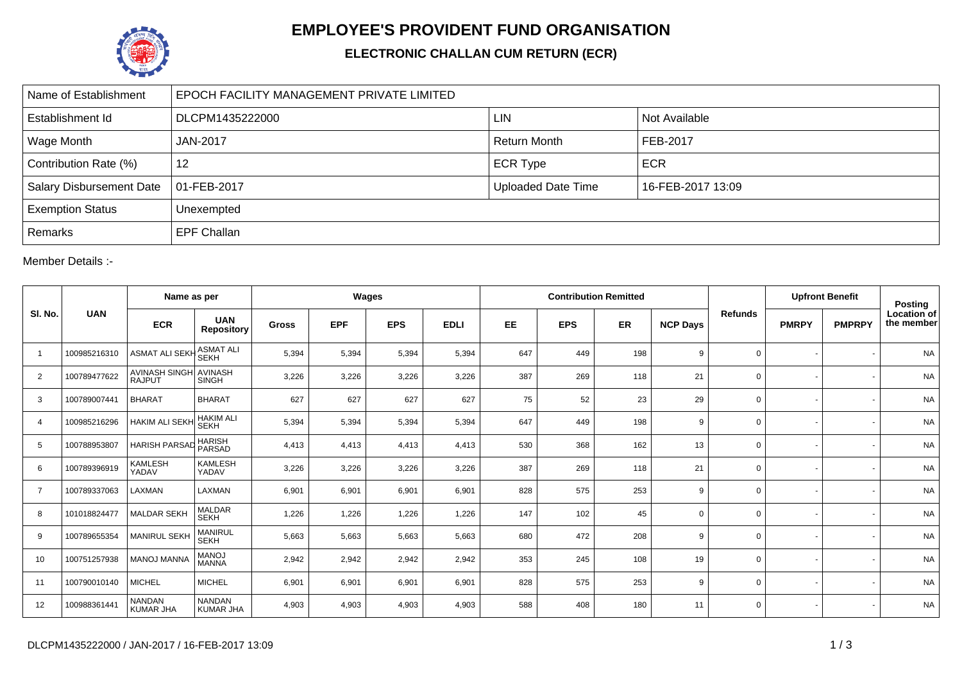

## **EMPLOYEE'S PROVIDENT FUND ORGANISATION**

## **ELECTRONIC CHALLAN CUM RETURN (ECR)**

| Name of Establishment           | EPOCH FACILITY MANAGEMENT PRIVATE LIMITED |                           |                   |  |  |  |  |  |  |  |
|---------------------------------|-------------------------------------------|---------------------------|-------------------|--|--|--|--|--|--|--|
| Establishment Id                | DLCPM1435222000                           | <b>LIN</b>                | Not Available     |  |  |  |  |  |  |  |
| Wage Month                      | <b>JAN-2017</b>                           | <b>Return Month</b>       | FEB-2017          |  |  |  |  |  |  |  |
| Contribution Rate (%)           | 12                                        | <b>ECR Type</b>           | <b>ECR</b>        |  |  |  |  |  |  |  |
| <b>Salary Disbursement Date</b> | $ 01 - FEB - 2017 $                       | <b>Uploaded Date Time</b> | 16-FEB-2017 13:09 |  |  |  |  |  |  |  |
| <b>Exemption Status</b>         | Unexempted                                |                           |                   |  |  |  |  |  |  |  |
| Remarks                         | <b>EPF Challan</b>                        |                           |                   |  |  |  |  |  |  |  |

Member Details :-

|                | <b>UAN</b>   | Name as per                            |                                   | Wages        |            |            |             |           |            | <b>Contribution Remitted</b> |                 |                | <b>Upfront Benefit</b> |               | <b>Posting</b>                   |
|----------------|--------------|----------------------------------------|-----------------------------------|--------------|------------|------------|-------------|-----------|------------|------------------------------|-----------------|----------------|------------------------|---------------|----------------------------------|
| SI. No.        |              | <b>ECR</b>                             | <b>UAN</b><br><b>Repository</b>   | <b>Gross</b> | <b>EPF</b> | <b>EPS</b> | <b>EDLI</b> | <b>EE</b> | <b>EPS</b> | <b>ER</b>                    | <b>NCP Days</b> | <b>Refunds</b> | <b>PMRPY</b>           | <b>PMPRPY</b> | <b>Location of</b><br>the member |
| $\overline{1}$ | 100985216310 | <b>ASMAT ALI SEKH</b>                  | <b>ASMAT ALI</b><br><b>SEKH</b>   | 5,394        | 5,394      | 5,394      | 5,394       | 647       | 449        | 198                          | 9               | $\mathbf 0$    |                        |               | <b>NA</b>                        |
| $\overline{2}$ | 100789477622 | AVINASH SINGH AVINASH<br><b>RAJPUT</b> | <b>SINGH</b>                      | 3,226        | 3,226      | 3,226      | 3,226       | 387       | 269        | 118                          | 21              | $\mathbf 0$    |                        |               | <b>NA</b>                        |
| 3              | 100789007441 | <b>BHARAT</b>                          | <b>BHARAT</b>                     | 627          | 627        | 627        | 627         | 75        | 52         | 23                           | 29              | $\mathbf 0$    |                        |               | <b>NA</b>                        |
| $\overline{4}$ | 100985216296 | <b>HAKIM ALI SEKH</b>                  | <b>HAKIM ALI</b><br><b>SEKH</b>   | 5,394        | 5,394      | 5,394      | 5,394       | 647       | 449        | 198                          | 9               | $\mathbf 0$    |                        |               | <b>NA</b>                        |
| 5              | 100788953807 | <b>HARISH PARSAD</b>                   | <b>HARISH</b><br>PARSAD           | 4,413        | 4,413      | 4,413      | 4,413       | 530       | 368        | 162                          | 13              | $\mathbf 0$    |                        |               | <b>NA</b>                        |
| 6              | 100789396919 | KAMLESH<br>YADAV                       | <b>KAMLESH</b><br>YADAV           | 3,226        | 3,226      | 3,226      | 3,226       | 387       | 269        | 118                          | 21              | $\mathbf 0$    |                        |               | <b>NA</b>                        |
| $\overline{7}$ | 100789337063 | LAXMAN                                 | LAXMAN                            | 6,901        | 6,901      | 6,901      | 6,901       | 828       | 575        | 253                          | 9               | 0              |                        |               | <b>NA</b>                        |
| 8              | 101018824477 | <b>MALDAR SEKH</b>                     | <b>MALDAR</b><br><b>SEKH</b>      | 1,226        | 1,226      | 1,226      | 1,226       | 147       | 102        | 45                           | 0               | $\mathbf 0$    |                        |               | <b>NA</b>                        |
| 9              | 100789655354 | <b>MANIRUL SEKH</b>                    | MANIRUL<br><b>SEKH</b>            | 5,663        | 5,663      | 5,663      | 5,663       | 680       | 472        | 208                          | 9               | $\mathbf 0$    |                        |               | <b>NA</b>                        |
| 10             | 100751257938 | <b>MANOJ MANNA</b>                     | <b>MANOJ</b><br><b>MANNA</b>      | 2,942        | 2,942      | 2,942      | 2,942       | 353       | 245        | 108                          | 19              | $\mathbf 0$    |                        |               | <b>NA</b>                        |
| 11             | 100790010140 | <b>MICHEL</b>                          | <b>MICHEL</b>                     | 6,901        | 6,901      | 6,901      | 6,901       | 828       | 575        | 253                          | 9               | $\mathbf 0$    |                        |               | <b>NA</b>                        |
| 12             | 100988361441 | <b>NANDAN</b><br><b>KUMAR JHA</b>      | <b>NANDAN</b><br><b>KUMAR JHA</b> | 4,903        | 4,903      | 4,903      | 4,903       | 588       | 408        | 180                          | 11              | $\mathbf 0$    |                        |               | <b>NA</b>                        |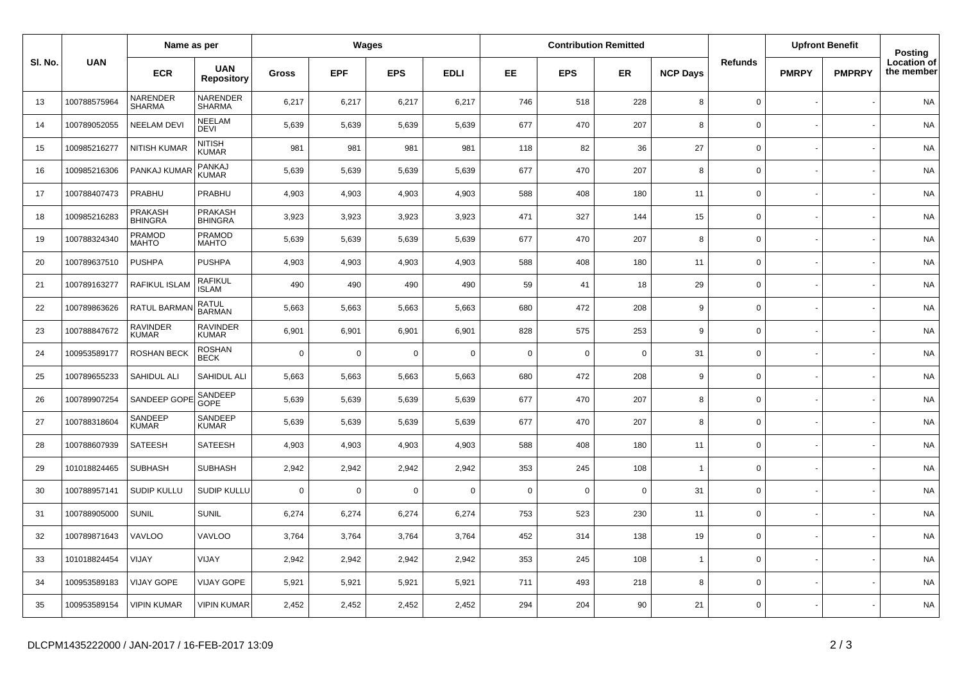|         | <b>UAN</b>   | Name as per               |                                 | Wages        |             |             |             |             |             | <b>Contribution Remitted</b> |                 |                     | <b>Upfront Benefit</b> |               | Posting                   |
|---------|--------------|---------------------------|---------------------------------|--------------|-------------|-------------|-------------|-------------|-------------|------------------------------|-----------------|---------------------|------------------------|---------------|---------------------------|
| SI. No. |              | <b>ECR</b>                | <b>UAN</b><br><b>Repository</b> | <b>Gross</b> | <b>EPF</b>  | <b>EPS</b>  | <b>EDLI</b> | EE          | <b>EPS</b>  | ER                           | <b>NCP Days</b> | <b>Refunds</b>      | <b>PMRPY</b>           | <b>PMPRPY</b> | Location of<br>the member |
| 13      | 100788575964 | NARENDER<br><b>SHARMA</b> | NARENDER<br><b>SHARMA</b>       | 6,217        | 6,217       | 6,217       | 6,217       | 746         | 518         | 228                          | 8               | $\mathbf 0$         |                        |               | <b>NA</b>                 |
| 14      | 100789052055 | <b>NEELAM DEVI</b>        | <b>NEELAM</b><br><b>DEVI</b>    | 5,639        | 5,639       | 5,639       | 5,639       | 677         | 470         | 207                          | 8               | $\mathsf{O}\xspace$ |                        |               | <b>NA</b>                 |
| 15      | 100985216277 | <b>NITISH KUMAR</b>       | NITISH<br>KUMAR                 | 981          | 981         | 981         | 981         | 118         | 82          | 36                           | 27              | $\mathbf 0$         |                        |               | <b>NA</b>                 |
| 16      | 100985216306 | PANKAJ KUMAR              | PANKAJ<br>KUMAR                 | 5,639        | 5,639       | 5,639       | 5,639       | 677         | 470         | 207                          | 8               | $\mathsf{O}\xspace$ |                        |               | <b>NA</b>                 |
| 17      | 100788407473 | PRABHU                    | PRABHU                          | 4,903        | 4,903       | 4,903       | 4,903       | 588         | 408         | 180                          | 11              | $\mathbf 0$         |                        |               | <b>NA</b>                 |
| 18      | 100985216283 | PRAKASH<br><b>BHINGRA</b> | PRAKASH<br><b>BHINGRA</b>       | 3,923        | 3,923       | 3,923       | 3,923       | 471         | 327         | 144                          | 15              | $\mathbf 0$         |                        |               | <b>NA</b>                 |
| 19      | 100788324340 | PRAMOD<br>MAHTO           | PRAMOD<br>MAHTO                 | 5,639        | 5,639       | 5,639       | 5,639       | 677         | 470         | 207                          | 8               | $\mathbf 0$         |                        |               | <b>NA</b>                 |
| 20      | 100789637510 | <b>PUSHPA</b>             | <b>PUSHPA</b>                   | 4,903        | 4,903       | 4,903       | 4,903       | 588         | 408         | 180                          | 11              | $\mathsf 0$         |                        |               | <b>NA</b>                 |
| 21      | 100789163277 | <b>RAFIKUL ISLAM</b>      | <b>RAFIKUL</b><br><b>ISLAM</b>  | 490          | 490         | 490         | 490         | 59          | 41          | 18                           | 29              | $\mathsf 0$         |                        |               | <b>NA</b>                 |
| 22      | 100789863626 | RATUL BARMAN              | <b>RATUL</b><br><b>BARMAN</b>   | 5,663        | 5,663       | 5,663       | 5,663       | 680         | 472         | 208                          | 9               | $\mathbf 0$         |                        |               | <b>NA</b>                 |
| 23      | 100788847672 | RAVINDER<br>KUMAR         | <b>RAVINDER</b><br><b>KUMAR</b> | 6,901        | 6,901       | 6,901       | 6,901       | 828         | 575         | 253                          | 9               | $\mathbf 0$         |                        |               | <b>NA</b>                 |
| 24      | 100953589177 | <b>ROSHAN BECK</b>        | <b>ROSHAN</b><br><b>BECK</b>    | $\Omega$     | $\mathbf 0$ | $\mathbf 0$ | $\Omega$    | $\mathbf 0$ | $\mathsf 0$ | $\overline{0}$               | 31              | $\mathbf 0$         |                        |               | <b>NA</b>                 |
| 25      | 100789655233 | SAHIDUL ALI               | SAHIDUL ALI                     | 5,663        | 5,663       | 5,663       | 5,663       | 680         | 472         | 208                          | 9               | $\mathsf{O}\xspace$ |                        |               | <b>NA</b>                 |
| 26      | 100789907254 | SANDEEP GOPE              | SANDEEP<br>GOPE                 | 5,639        | 5,639       | 5,639       | 5,639       | 677         | 470         | 207                          | 8               | $\mathbf 0$         |                        |               | NA                        |
| 27      | 100788318604 | SANDEEP<br><b>KUMAR</b>   | SANDEEP<br><b>KUMAR</b>         | 5,639        | 5,639       | 5,639       | 5,639       | 677         | 470         | 207                          | 8               | $\mathbf 0$         |                        |               | <b>NA</b>                 |
| 28      | 100788607939 | <b>SATEESH</b>            | SATEESH                         | 4,903        | 4,903       | 4,903       | 4,903       | 588         | 408         | 180                          | 11              | $\mathbf 0$         |                        |               | <b>NA</b>                 |
| 29      | 101018824465 | <b>SUBHASH</b>            | <b>SUBHASH</b>                  | 2,942        | 2,942       | 2,942       | 2,942       | 353         | 245         | 108                          | $\mathbf{1}$    | $\mathbf 0$         |                        |               | <b>NA</b>                 |
| 30      | 100788957141 | <b>SUDIP KULLU</b>        | <b>SUDIP KULLU</b>              | $\Omega$     | 0           | 0           | 0           | $\mathbf 0$ | $\mathbf 0$ | $\overline{0}$               | 31              | $\mathbf 0$         |                        |               | <b>NA</b>                 |
| 31      | 100788905000 | <b>SUNIL</b>              | <b>SUNIL</b>                    | 6,274        | 6,274       | 6,274       | 6,274       | 753         | 523         | 230                          | 11              | $\mathbf 0$         |                        |               | <b>NA</b>                 |
| 32      | 100789871643 | <b>VAVLOO</b>             | VAVLOO                          | 3,764        | 3,764       | 3,764       | 3,764       | 452         | 314         | 138                          | 19              | $\mathsf{O}\xspace$ |                        |               | <b>NA</b>                 |
| 33      | 101018824454 | VIJAY                     | VIJAY                           | 2,942        | 2,942       | 2,942       | 2,942       | 353         | 245         | 108                          | $\overline{1}$  | $\mathbf 0$         |                        |               | <b>NA</b>                 |
| 34      | 100953589183 | <b>VIJAY GOPE</b>         | <b>VIJAY GOPE</b>               | 5,921        | 5,921       | 5,921       | 5,921       | 711         | 493         | 218                          | 8               | $\mathsf{O}\xspace$ |                        |               | <b>NA</b>                 |
| 35      | 100953589154 | <b>VIPIN KUMAR</b>        | <b>VIPIN KUMAR</b>              | 2,452        | 2,452       | 2,452       | 2,452       | 294         | 204         | 90                           | 21              | $\mathbf 0$         |                        |               | <b>NA</b>                 |